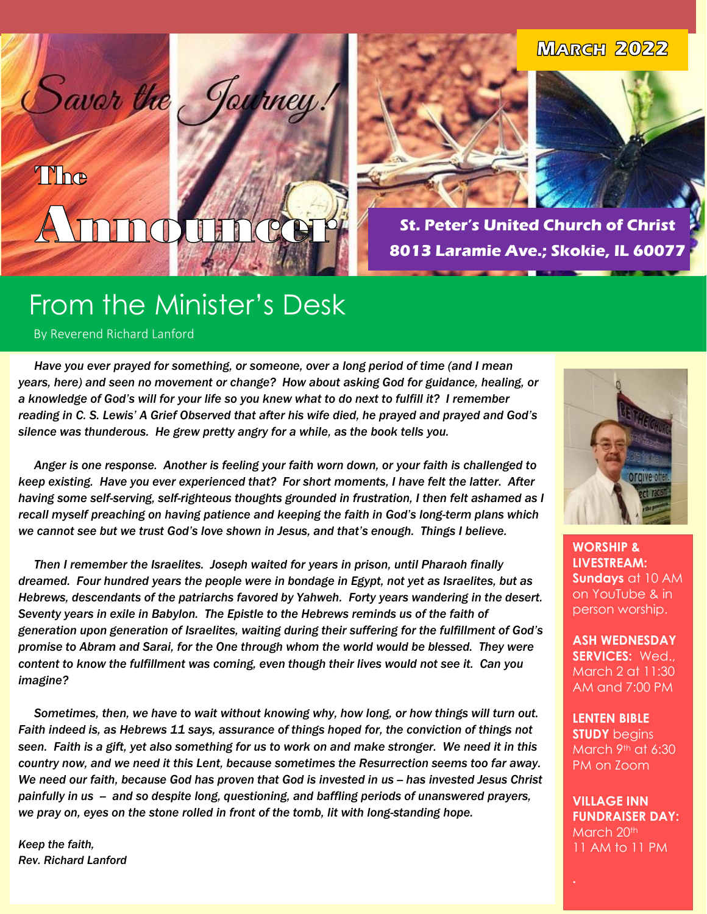#### **MARGH 2022**

## The  $\frac{1}{2}$ **Take**

Saver the Journey





**St. Peter's United Church of Christ 8013 Laramie Ave.; Skokie, IL 60077**

## From the Minister's Desk

By Reverend Richard Lanford

 $\overline{\mathbf{C}}$ 

 $\overline{\phantom{a}}$ 

 *Have you ever prayed for something, or someone, over a long period of time (and I mean years, here) and seen no movement or change? How about asking God for guidance, healing, or a knowledge of God's will for your life so you knew what to do next to fulfill it? I remember reading in C. S. Lewis' A Grief Observed that after his wife died, he prayed and prayed and God's silence was thunderous. He grew pretty angry for a while, as the book tells you.* 

 *Anger is one response. Another is feeling your faith worn down, or your faith is challenged to keep existing. Have you ever experienced that? For short moments, I have felt the latter. After having some self-serving, self-righteous thoughts grounded in frustration, I then felt ashamed as I recall myself preaching on having patience and keeping the faith in God's long-term plans which we cannot see but we trust God's love shown in Jesus, and that's enough. Things I believe.*

 *Then I remember the Israelites. Joseph waited for years in prison, until Pharaoh finally dreamed. Four hundred years the people were in bondage in Egypt, not yet as Israelites, but as Hebrews, descendants of the patriarchs favored by Yahweh. Forty years wandering in the desert. Seventy years in exile in Babylon. The Epistle to the Hebrews reminds us of the faith of generation upon generation of Israelites, waiting during their suffering for the fulfillment of God's promise to Abram and Sarai, for the One through whom the world would be blessed. They were content to know the fulfillment was coming, even though their lives would not see it. Can you imagine?*

 *Sometimes, then, we have to wait without knowing why, how long, or how things will turn out. Faith indeed is, as Hebrews 11 says, assurance of things hoped for, the conviction of things not seen. Faith is a gift, yet also something for us to work on and make stronger. We need it in this country now, and we need it this Lent, because sometimes the Resurrection seems too far away. We need our faith, because God has proven that God is invested in us -- has invested Jesus Christ painfully in us -- and so despite long, questioning, and baffling periods of unanswered prayers, we pray on, eyes on the stone rolled in front of the tomb, lit with long-standing hope.* 

*Keep the faith, Rev. Richard Lanford*



**WORSHIP & LIVESTREAM: Sundays** at 10 AM on YouTube & in person worship.

**ASH WEDNESDAY SERVICES:** Wed., March 2 at 11:30 AM and 7:00 PM

**LENTEN BIBLE STUDY** begins March 9th at 6:30 PM on Zoom

**VILLAGE INN FUNDRAISER DAY:** March 20<sup>th</sup> 11 AM to 11 PM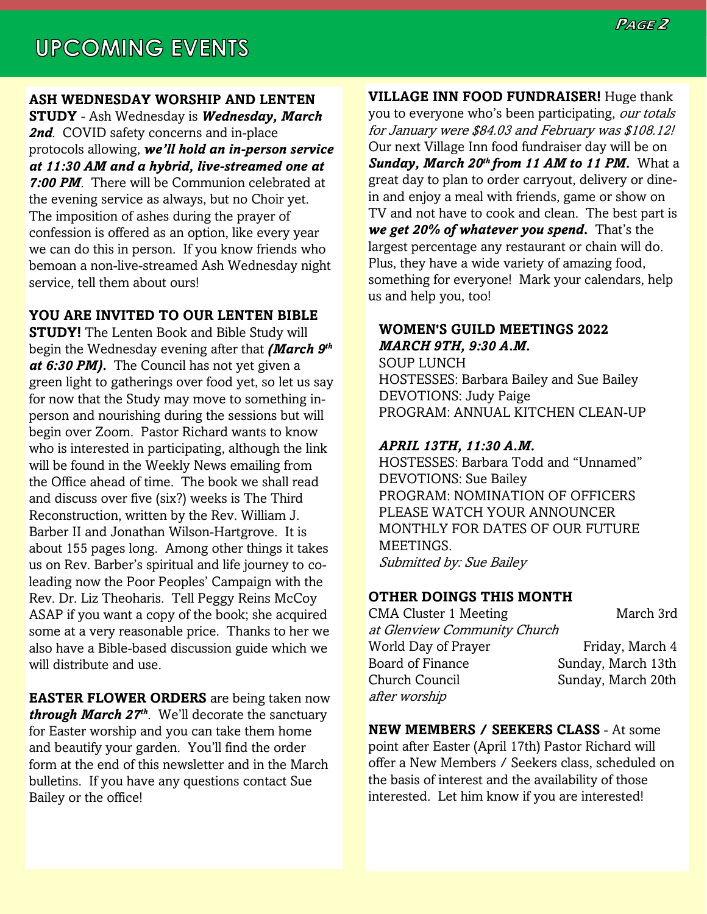#### **ASH WEDNESDAY WORSHIP AND LENTEN**

**STUDY** - Ash Wednesday is *Wednesday, March*  2nd. COVID safety concerns and in-place protocols allowing, *we'll hold an in-person service at 11:30 AM and a hybrid, live-streamed one at 7:00 PM*. There will be Communion celebrated at the evening service as always, but no Choir yet. The imposition of ashes during the prayer of confession is offered as an option, like every year we can do this in person. If you know friends who bemoan a non-live-streamed Ash Wednesday night service, tell them about ours!

#### **YOU ARE INVITED TO OUR LENTEN BIBLE**

**STUDY!** The Lenten Book and Bible Study will begin the Wednesday evening after that *(March 9th at 6:30 PM).* The Council has not yet given a green light to gatherings over food yet, so let us say for now that the Study may move to something inperson and nourishing during the sessions but will begin over Zoom. Pastor Richard wants to know who is interested in participating, although the link will be found in the Weekly News emailing from the Office ahead of time. The book we shall read and discuss over five (six?) weeks is The Third Reconstruction, written by the Rev. William J. Barber II and Jonathan Wilson-Hartgrove. It is about 155 pages long. Among other things it takes us on Rev. Barber's spiritual and life journey to coleading now the Poor Peoples' Campaign with the Rev. Dr. Liz Theoharis. Tell Peggy Reins McCoy ASAP if you want a copy of the book; she acquired some at a very reasonable price. Thanks to her we also have a Bible-based discussion guide which we will distribute and use.

**EASTER FLOWER ORDERS** are being taken now *through March 27th*. We'll decorate the sanctuary for Easter worship and you can take them home and beautify your garden. You'll find the order form at the end of this newsletter and in the March bulletins. If you have any questions contact Sue Bailey or the office!

**VILLAGE INN FOOD FUNDRAISER!** Huge thank you to everyone who's been participating, our totals for January were \$84.03 and February was \$108.12! Our next Village Inn food fundraiser day will be on *Sunday, March 20th from 11 AM to 11 PM.* What a great day to plan to order carryout, delivery or dinein and enjoy a meal with friends, game or show on TV and not have to cook and clean. The best part is *we get 20% of whatever you spend***.** That's the largest percentage any restaurant or chain will do. Plus, they have a wide variety of amazing food, something for everyone! Mark your calendars, help us and help you, too!

#### **WOMEN'S GUILD MEETINGS 2022** *MARCH 9TH, 9:30 A.M.*

SOUP LUNCH HOSTESSES: Barbara Bailey and Sue Bailey DEVOTIONS: Judy Paige PROGRAM: ANNUAL KITCHEN CLEAN-UP

#### *APRIL 13TH, 11:30 A.M.*

HOSTESSES: Barbara Todd and "Unnamed" DEVOTIONS: Sue Bailey PROGRAM: NOMINATION OF OFFICERS PLEASE WATCH YOUR ANNOUNCER MONTHLY FOR DATES OF OUR FUTURE MEETINGS. Submitted by: Sue Bailey

#### **OTHER DOINGS THIS MONTH**

CMA Cluster 1 Meeting March 3rd at Glenview Community Church World Day of Prayer Friday, March 4 Board of Finance Sunday, March 13th Church Council Sunday, March 20th after worship

**NEW MEMBERS / SEEKERS CLASS** - At some point after Easter (April 17th) Pastor Richard will offer a New Members / Seekers class, scheduled on the basis of interest and the availability of those interested. Let him know if you are interested!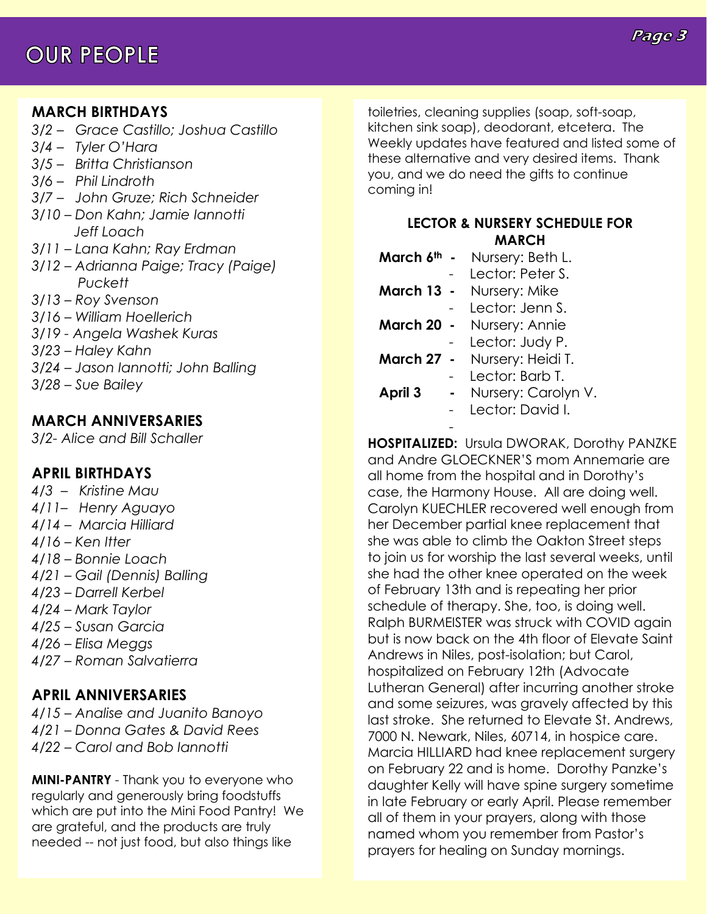## **OUR PEOPLE**

#### Page 3

#### **MARCH BIRTHDAYS**

- *3/2 – Grace Castillo; Joshua Castillo*
- *3/4 – Tyler O'Hara*
- *3/5 – Britta Christianson*
- *3/6 – Phil Lindroth*
- *3/7 – John Gruze; Rich Schneider*
- *3/10 – Don Kahn; Jamie Iannotti Jeff Loach*
- *3/11 – Lana Kahn; Ray Erdman*
- *3/12 – Adrianna Paige; Tracy (Paige) Puckett*
- *3/13 – Roy Svenson*
- *3/16 – William Hoellerich*
- *3/19 - Angela Washek Kuras*
- *3/23 – Haley Kahn*
- *3/24 – Jason Iannotti; John Balling*
- *3/28 – Sue Bailey*

#### **MARCH ANNIVERSARIES**

*3/2- Alice and Bill Schaller*

#### **APRIL BIRTHDAYS**

- *4/3 – Kristine Mau*
- *4/11– Henry Aguayo*
- *4/14 – Marcia Hilliard*
- *4/16 – Ken Itter*
- *4/18 – Bonnie Loach*
- *4/21 – Gail (Dennis) Balling*
- *4/23 – Darrell Kerbel*
- *4/24 – Mark Taylor*
- *4/25 – Susan Garcia*
- *4/26 – Elisa Meggs*
- *4/27 – Roman Salvatierra*

#### **APRIL ANNIVERSARIES**

*4/15 – Analise and Juanito Banoyo 4/21 – Donna Gates & David Rees 4/22 – Carol and Bob Iannotti*

**MINI-PANTRY** - Thank you to everyone who regularly and generously bring foodstuffs which are put into the Mini Food Pantry! We are grateful, and the products are truly needed -- not just food, but also things like

toiletries, cleaning supplies (soap, soft-soap, kitchen sink soap), deodorant, etcetera. The Weekly updates have featured and listed some of these alternative and very desired items. Thank you, and we do need the gifts to continue coming in!

#### **LECTOR & NURSERY SCHEDULE FOR MARCH**

|            | <b>March 6th -</b> Nursery: Beth L. |
|------------|-------------------------------------|
|            | Lector: Peter S.                    |
| March 13 - | Nursery: Mike                       |
|            | Lector: Jenn S.                     |

**March 20 -** Nursery: Annie

Lector: Judy P.

- **March 27** Nursery: Heidi T.
	- Lector: Barb T.
- **April 3** Nursery: Carolyn V.
	- Lector: David I.

- **HOSPITALIZED:** Ursula DWORAK, Dorothy PANZKE and Andre GLOECKNER'S mom Annemarie are all home from the hospital and in Dorothy's case, the Harmony House. All are doing well. Carolyn KUECHLER recovered well enough from her December partial knee replacement that she was able to climb the Oakton Street steps to join us for worship the last several weeks, until she had the other knee operated on the week of February 13th and is repeating her prior schedule of therapy. She, too, is doing well. Ralph BURMEISTER was struck with COVID again but is now back on the 4th floor of Elevate Saint Andrews in Niles, post-isolation; but Carol, hospitalized on February 12th (Advocate Lutheran General) after incurring another stroke and some seizures, was gravely affected by this last stroke. She returned to Elevate St. Andrews, 7000 N. Newark, Niles, 60714, in hospice care. Marcia HILLIARD had knee replacement surgery on February 22 and is home. Dorothy Panzke's daughter Kelly will have spine surgery sometime in late February or early April. Please remember all of them in your prayers, along with those named whom you remember from Pastor's prayers for healing on Sunday mornings.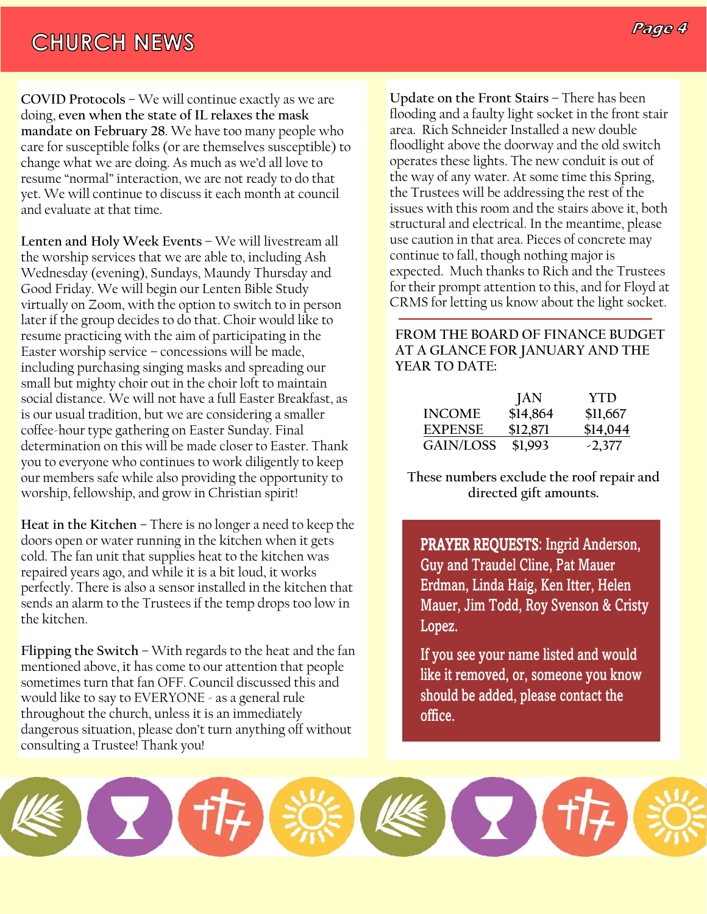### **CHURCH NEWS**

**P**<br> **P** Age are for susceptible folks (or are themselves susceptible) to **COVID Protocols** – We will continue exactly as we are doing, **even when the state of IL relaxes the mask mandate on February 28**. We have too many people who change what we are doing. As much as we'd all love to resume "normal" interaction, we are not ready to do that yet. We will continue to discuss it each month at council and evaluate at that time.

**Lenten and Holy Week Events** – We will livestream all the worship services that we are able to, including Ash Wednesday (evening), Sundays, Maundy Thursday and Good Friday. We will begin our Lenten Bible Study virtually on Zoom, with the option to switch to in person later if the group decides to do that. Choir would like to resume practicing with the aim of participating in the Easter worship service – concessions will be made, including purchasing singing masks and spreading our small but mighty choir out in the choir loft to maintain social distance. We will not have a full Easter Breakfast, as is our usual tradition, but we are considering a smaller coffee-hour type gathering on Easter Sunday. Final determination on this will be made closer to Easter. Thank you to everyone who continues to work diligently to keep our members safe while also providing the opportunity to worship, fellowship, and grow in Christian spirit!

**Heat in the Kitchen** – There is no longer a need to keep the doors open or water running in the kitchen when it gets cold. The fan unit that supplies heat to the kitchen was repaired years ago, and while it is a bit loud, it works perfectly. There is also a sensor installed in the kitchen that sends an alarm to the Trustees if the temp drops too low in the kitchen.

**Flipping the Switch** – With regards to the heat and the fan mentioned above, it has come to our attention that people sometimes turn that fan OFF. Council discussed this and would like to say to EVERYONE - as a general rule throughout the church, unless it is an immediately dangerous situation, please don't turn anything off without consulting a Trustee! Thank you!

**Page 4** area. Rich Schneider Installed a new double **Update on the Front Stairs** – There has been flooding and a faulty light socket in the front stair floodlight above the doorway and the old switch operates these lights. The new conduit is out of the way of any water. At some time this Spring, the Trustees will be addressing the rest of the issues with this room and the stairs above it, both structural and electrical. In the meantime, please use caution in that area. Pieces of concrete may continue to fall, though nothing major is expected. Much thanks to Rich and the Trustees for their prompt attention to this, and for Floyd at CRMS for letting us know about the light socket.

#### **FROM THE BOARD OF FINANCE BUDGET AT A GLANCE FOR JANUARY AND THE YEAR TO DATE:**

|                  | JAN      | <b>YTD</b> |
|------------------|----------|------------|
| <b>INCOME</b>    | \$14,864 | \$11,667   |
| <b>EXPENSE</b>   | \$12,871 | \$14,044   |
| <b>GAIN/LOSS</b> | \$1,993  | $-2,377$   |

**These numbers exclude the roof repair and directed gift amounts.**

PRAYER REQUESTS: Ingrid Anderson, Guy and Traudel Cline, Pat Mauer Erdman, Linda Haig, Ken Itter, Helen Mauer, Jim Todd, Roy Svenson & Cristy Lopez.

If you see your name listed and would like it removed, or, someone you know should be added, please contact the office.

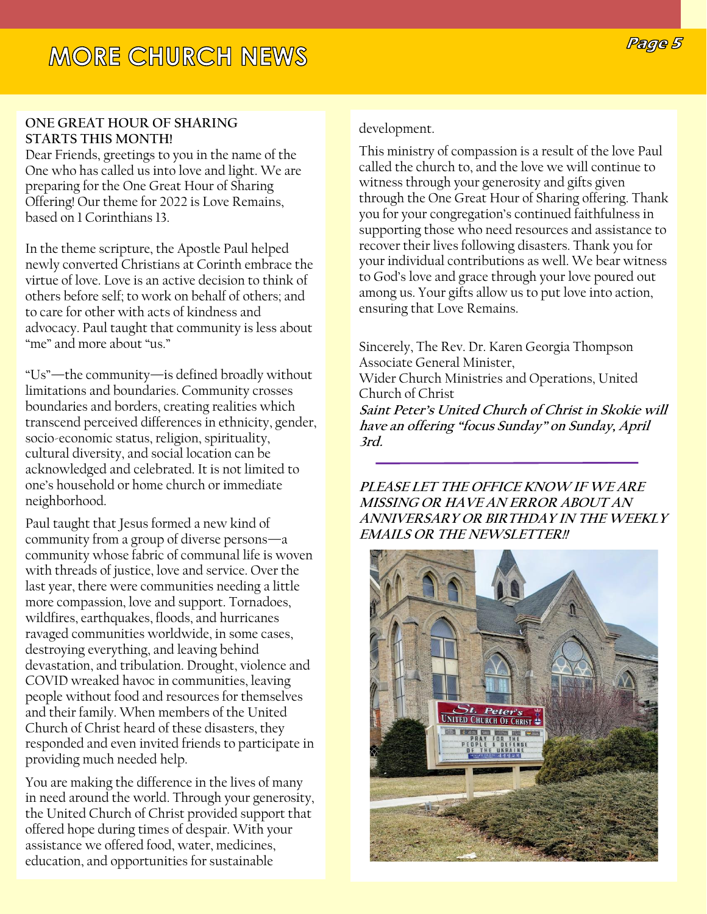#### **ONE GREAT HOUR OF SHARING STARTS THIS MONTH!**

Dear Friends, greetings to you in the name of the One who has called us into love and light. We are preparing for the One Great Hour of Sharing Offering! Our theme for 2022 is Love Remains, based on 1 Corinthians 13.

In the theme scripture, the Apostle Paul helped newly converted Christians at Corinth embrace the virtue of love. Love is an active decision to think of others before self; to work on behalf of others; and to care for other with acts of kindness and advocacy. Paul taught that community is less about "me" and more about "us."

"Us"—the community—is defined broadly without limitations and boundaries. Community crosses boundaries and borders, creating realities which transcend perceived differences in ethnicity, gender, socio-economic status, religion, spirituality, cultural diversity, and social location can be acknowledged and celebrated. It is not limited to one's household or home church or immediate neighborhood.

Paul taught that Jesus formed a new kind of community from a group of diverse persons—a community whose fabric of communal life is woven with threads of justice, love and service. Over the last year, there were communities needing a little more compassion, love and support. Tornadoes, wildfires, earthquakes, floods, and hurricanes ravaged communities worldwide, in some cases, destroying everything, and leaving behind devastation, and tribulation. Drought, violence and COVID wreaked havoc in communities, leaving people without food and resources for themselves and their family. When members of the United Church of Christ heard of these disasters, they responded and even invited friends to participate in providing much needed help.

You are making the difference in the lives of many in need around the world. Through your generosity, the United Church of Christ provided support that offered hope during times of despair. With your assistance we offered food, water, medicines, education, and opportunities for sustainable

#### development.

This ministry of compassion is a result of the love Paul called the church to, and the love we will continue to witness through your generosity and gifts given through the One Great Hour of Sharing offering. Thank you for your congregation's continued faithfulness in supporting those who need resources and assistance to recover their lives following disasters. Thank you for your individual contributions as well. We bear witness to God's love and grace through your love poured out among us. Your gifts allow us to put love into action, ensuring that Love Remains.

Sincerely, The Rev. Dr. Karen Georgia Thompson Associate General Minister,

Wider Church Ministries and Operations, United Church of Christ

**Saint Peter's United Church of Christ in Skokie will have an offering "focus Sunday" on Sunday, April 3rd.**

#### **PLEASE LET THE OFFICE KNOW IF WE ARE MISSING OR HAVE AN ERROR ABOUT AN ANNIVERSARY OR BIRTHDAY IN THE WEEKLY EMAILS OR THE NEWSLETTER!!**